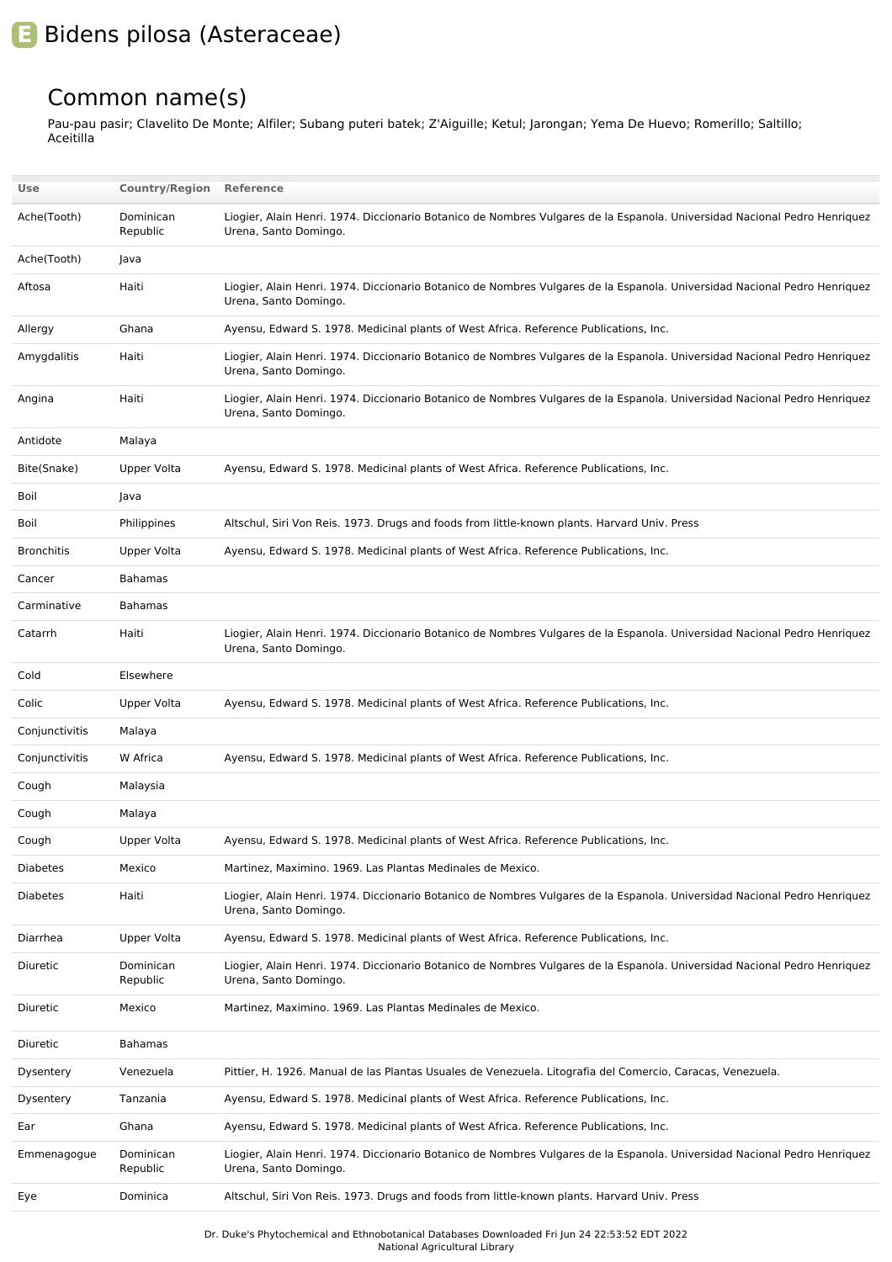## **E** Bidens pilosa (Asteraceae)

## Common name(s)

Pau-pau pasir; Clavelito De Monte; Alfiler; Subang puteri batek; Z'Aiguille; Ketul; Jarongan; Yema De Huevo; Romerillo; Saltillo; Aceitilla

| Use               | <b>Country/Region</b> | Reference                                                                                                                                          |
|-------------------|-----------------------|----------------------------------------------------------------------------------------------------------------------------------------------------|
| Ache(Tooth)       | Dominican<br>Republic | Liogier, Alain Henri. 1974. Diccionario Botanico de Nombres Vulgares de la Espanola. Universidad Nacional Pedro Henriquez<br>Urena, Santo Domingo. |
| Ache(Tooth)       | Java                  |                                                                                                                                                    |
| Aftosa            | Haiti                 | Liogier, Alain Henri. 1974. Diccionario Botanico de Nombres Vulgares de la Espanola. Universidad Nacional Pedro Henriquez<br>Urena, Santo Domingo. |
| Allergy           | Ghana                 | Ayensu, Edward S. 1978. Medicinal plants of West Africa. Reference Publications, Inc.                                                              |
| Amygdalitis       | Haiti                 | Liogier, Alain Henri. 1974. Diccionario Botanico de Nombres Vulgares de la Espanola. Universidad Nacional Pedro Henriquez<br>Urena, Santo Domingo. |
| Angina            | Haiti                 | Liogier, Alain Henri. 1974. Diccionario Botanico de Nombres Vulgares de la Espanola. Universidad Nacional Pedro Henriquez<br>Urena, Santo Domingo. |
| Antidote          | Malaya                |                                                                                                                                                    |
| Bite(Snake)       | Upper Volta           | Ayensu, Edward S. 1978. Medicinal plants of West Africa. Reference Publications, Inc.                                                              |
| Boil              | Java                  |                                                                                                                                                    |
| Boil              | Philippines           | Altschul, Siri Von Reis. 1973. Drugs and foods from little-known plants. Harvard Univ. Press                                                       |
| <b>Bronchitis</b> | <b>Upper Volta</b>    | Ayensu, Edward S. 1978. Medicinal plants of West Africa. Reference Publications, Inc.                                                              |
| Cancer            | <b>Bahamas</b>        |                                                                                                                                                    |
| Carminative       | <b>Bahamas</b>        |                                                                                                                                                    |
| Catarrh           | Haiti                 | Liogier, Alain Henri. 1974. Diccionario Botanico de Nombres Vulgares de la Espanola. Universidad Nacional Pedro Henriquez<br>Urena, Santo Domingo. |
| Cold              | Elsewhere             |                                                                                                                                                    |
| Colic             | Upper Volta           | Ayensu, Edward S. 1978. Medicinal plants of West Africa. Reference Publications, Inc.                                                              |
| Conjunctivitis    | Malaya                |                                                                                                                                                    |
| Conjunctivitis    | W Africa              | Ayensu, Edward S. 1978. Medicinal plants of West Africa. Reference Publications, Inc.                                                              |
| Cough             | Malaysia              |                                                                                                                                                    |
| Cough             | Malaya                |                                                                                                                                                    |
| Cough             | Upper Volta           | Ayensu, Edward S. 1978. Medicinal plants of West Africa. Reference Publications, Inc.                                                              |
| <b>Diabetes</b>   | Mexico                | Martinez, Maximino. 1969. Las Plantas Medinales de Mexico.                                                                                         |
| Diabetes          | Haiti                 | Liogier, Alain Henri. 1974. Diccionario Botanico de Nombres Vulgares de la Espanola. Universidad Nacional Pedro Henriquez<br>Urena, Santo Domingo. |
| Diarrhea          | Upper Volta           | Ayensu, Edward S. 1978. Medicinal plants of West Africa. Reference Publications, Inc.                                                              |
| Diuretic          | Dominican<br>Republic | Liogier, Alain Henri. 1974. Diccionario Botanico de Nombres Vulgares de la Espanola. Universidad Nacional Pedro Henriquez<br>Urena, Santo Domingo. |
| Diuretic          | Mexico                | Martinez, Maximino. 1969. Las Plantas Medinales de Mexico.                                                                                         |
| Diuretic          | <b>Bahamas</b>        |                                                                                                                                                    |
| Dysentery         | Venezuela             | Pittier, H. 1926. Manual de las Plantas Usuales de Venezuela. Litografia del Comercio, Caracas, Venezuela.                                         |
| Dysentery         | Tanzania              | Ayensu, Edward S. 1978. Medicinal plants of West Africa. Reference Publications, Inc.                                                              |
| Ear               | Ghana                 | Ayensu, Edward S. 1978. Medicinal plants of West Africa. Reference Publications, Inc.                                                              |
| Emmenagogue       | Dominican<br>Republic | Liogier, Alain Henri. 1974. Diccionario Botanico de Nombres Vulgares de la Espanola. Universidad Nacional Pedro Henriquez<br>Urena, Santo Domingo. |
| Eye               | Dominica              | Altschul, Siri Von Reis. 1973. Drugs and foods from little-known plants. Harvard Univ. Press                                                       |